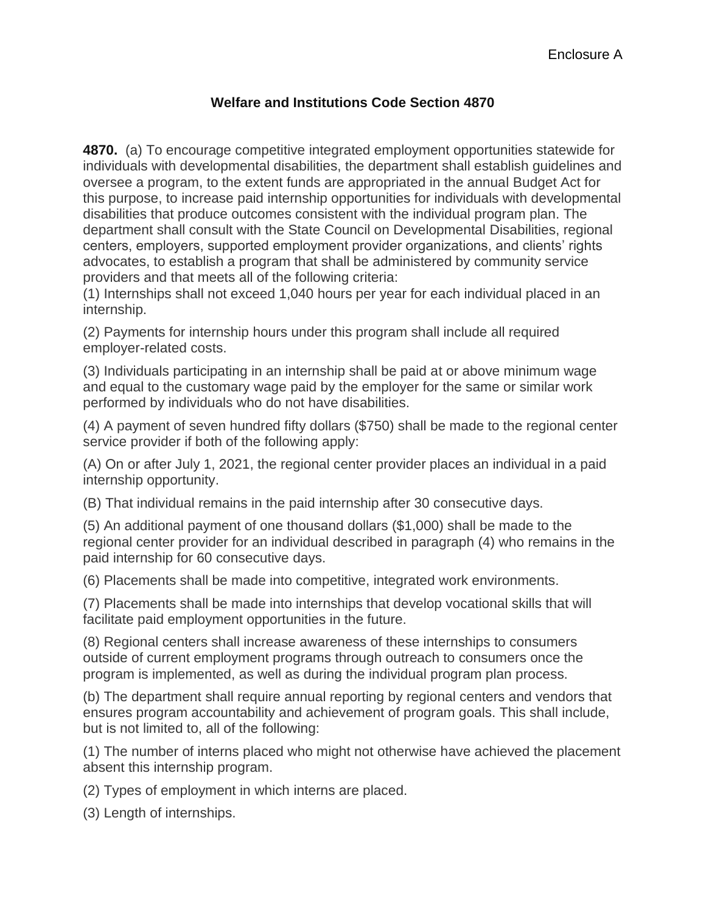## **Welfare and Institutions Code Section 4870**

**4870.** (a) To encourage competitive integrated employment opportunities statewide for individuals with developmental disabilities, the department shall establish guidelines and oversee a program, to the extent funds are appropriated in the annual Budget Act for this purpose, to increase paid internship opportunities for individuals with developmental disabilities that produce outcomes consistent with the individual program plan. The department shall consult with the State Council on Developmental Disabilities, regional centers, employers, supported employment provider organizations, and clients' rights advocates, to establish a program that shall be administered by community service providers and that meets all of the following criteria:

(1) Internships shall not exceed 1,040 hours per year for each individual placed in an internship.

(2) Payments for internship hours under this program shall include all required employer-related costs.

(3) Individuals participating in an internship shall be paid at or above minimum wage and equal to the customary wage paid by the employer for the same or similar work performed by individuals who do not have disabilities.

(4) A payment of seven hundred fifty dollars (\$750) shall be made to the regional center service provider if both of the following apply:

(A) On or after July 1, 2021, the regional center provider places an individual in a paid internship opportunity.

(B) That individual remains in the paid internship after 30 consecutive days.

(5) An additional payment of one thousand dollars (\$1,000) shall be made to the regional center provider for an individual described in paragraph (4) who remains in the paid internship for 60 consecutive days.

(6) Placements shall be made into competitive, integrated work environments.

(7) Placements shall be made into internships that develop vocational skills that will facilitate paid employment opportunities in the future.

(8) Regional centers shall increase awareness of these internships to consumers outside of current employment programs through outreach to consumers once the program is implemented, as well as during the individual program plan process.

(b) The department shall require annual reporting by regional centers and vendors that ensures program accountability and achievement of program goals. This shall include, but is not limited to, all of the following:

(1) The number of interns placed who might not otherwise have achieved the placement absent this internship program.

(2) Types of employment in which interns are placed.

(3) Length of internships.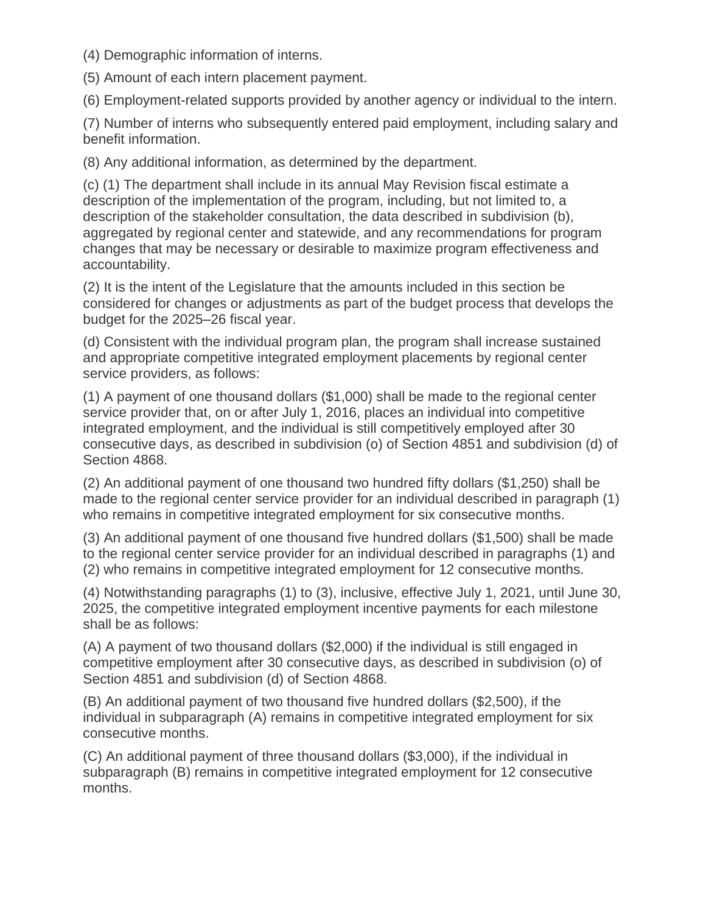(4) Demographic information of interns.

(5) Amount of each intern placement payment.

(6) Employment-related supports provided by another agency or individual to the intern.

(7) Number of interns who subsequently entered paid employment, including salary and benefit information.

(8) Any additional information, as determined by the department.

(c) (1) The department shall include in its annual May Revision fiscal estimate a description of the implementation of the program, including, but not limited to, a description of the stakeholder consultation, the data described in subdivision (b), aggregated by regional center and statewide, and any recommendations for program changes that may be necessary or desirable to maximize program effectiveness and accountability.

(2) It is the intent of the Legislature that the amounts included in this section be considered for changes or adjustments as part of the budget process that develops the budget for the 2025–26 fiscal year.

(d) Consistent with the individual program plan, the program shall increase sustained and appropriate competitive integrated employment placements by regional center service providers, as follows:

(1) A payment of one thousand dollars (\$1,000) shall be made to the regional center service provider that, on or after July 1, 2016, places an individual into competitive integrated employment, and the individual is still competitively employed after 30 consecutive days, as described in subdivision (o) of Section 4851 and subdivision (d) of Section 4868.

(2) An additional payment of one thousand two hundred fifty dollars (\$1,250) shall be made to the regional center service provider for an individual described in paragraph (1) who remains in competitive integrated employment for six consecutive months.

(3) An additional payment of one thousand five hundred dollars (\$1,500) shall be made to the regional center service provider for an individual described in paragraphs (1) and (2) who remains in competitive integrated employment for 12 consecutive months.

(4) Notwithstanding paragraphs (1) to (3), inclusive, effective July 1, 2021, until June 30, 2025, the competitive integrated employment incentive payments for each milestone shall be as follows:

(A) A payment of two thousand dollars (\$2,000) if the individual is still engaged in competitive employment after 30 consecutive days, as described in subdivision (o) of Section 4851 and subdivision (d) of Section 4868.

(B) An additional payment of two thousand five hundred dollars (\$2,500), if the individual in subparagraph (A) remains in competitive integrated employment for six consecutive months.

(C) An additional payment of three thousand dollars (\$3,000), if the individual in subparagraph (B) remains in competitive integrated employment for 12 consecutive months.